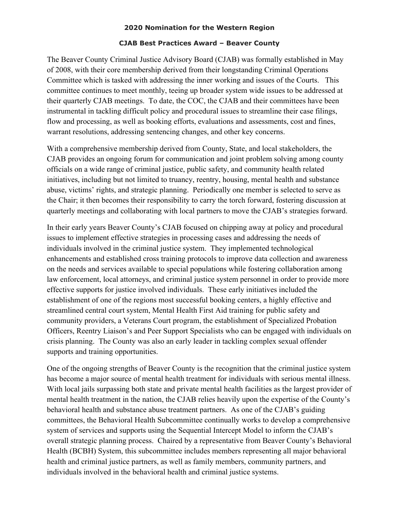## **2020 Nomination for the Western Region**

## **CJAB Best Practices Award – Beaver County**

The Beaver County Criminal Justice Advisory Board (CJAB) was formally established in May of 2008, with their core membership derived from their longstanding Criminal Operations Committee which is tasked with addressing the inner working and issues of the Courts. This committee continues to meet monthly, teeing up broader system wide issues to be addressed at their quarterly CJAB meetings. To date, the COC, the CJAB and their committees have been instrumental in tackling difficult policy and procedural issues to streamline their case filings, flow and processing, as well as booking efforts, evaluations and assessments, cost and fines, warrant resolutions, addressing sentencing changes, and other key concerns.

With a comprehensive membership derived from County, State, and local stakeholders, the CJAB provides an ongoing forum for communication and joint problem solving among county officials on a wide range of criminal justice, public safety, and community health related initiatives, including but not limited to truancy, reentry, housing, mental health and substance abuse, victims' rights, and strategic planning. Periodically one member is selected to serve as the Chair; it then becomes their responsibility to carry the torch forward, fostering discussion at quarterly meetings and collaborating with local partners to move the CJAB's strategies forward.

In their early years Beaver County's CJAB focused on chipping away at policy and procedural issues to implement effective strategies in processing cases and addressing the needs of individuals involved in the criminal justice system. They implemented technological enhancements and established cross training protocols to improve data collection and awareness on the needs and services available to special populations while fostering collaboration among law enforcement, local attorneys, and criminal justice system personnel in order to provide more effective supports for justice involved individuals. These early initiatives included the establishment of one of the regions most successful booking centers, a highly effective and streamlined central court system, Mental Health First Aid training for public safety and community providers, a Veterans Court program, the establishment of Specialized Probation Officers, Reentry Liaison's and Peer Support Specialists who can be engaged with individuals on crisis planning. The County was also an early leader in tackling complex sexual offender supports and training opportunities.

One of the ongoing strengths of Beaver County is the recognition that the criminal justice system has become a major source of mental health treatment for individuals with serious mental illness. With local jails surpassing both state and private mental health facilities as the largest provider of mental health treatment in the nation, the CJAB relies heavily upon the expertise of the County's behavioral health and substance abuse treatment partners. As one of the CJAB's guiding committees, the Behavioral Health Subcommittee continually works to develop a comprehensive system of services and supports using the Sequential Intercept Model to inform the CJAB's overall strategic planning process. Chaired by a representative from Beaver County's Behavioral Health (BCBH) System, this subcommittee includes members representing all major behavioral health and criminal justice partners, as well as family members, community partners, and individuals involved in the behavioral health and criminal justice systems.